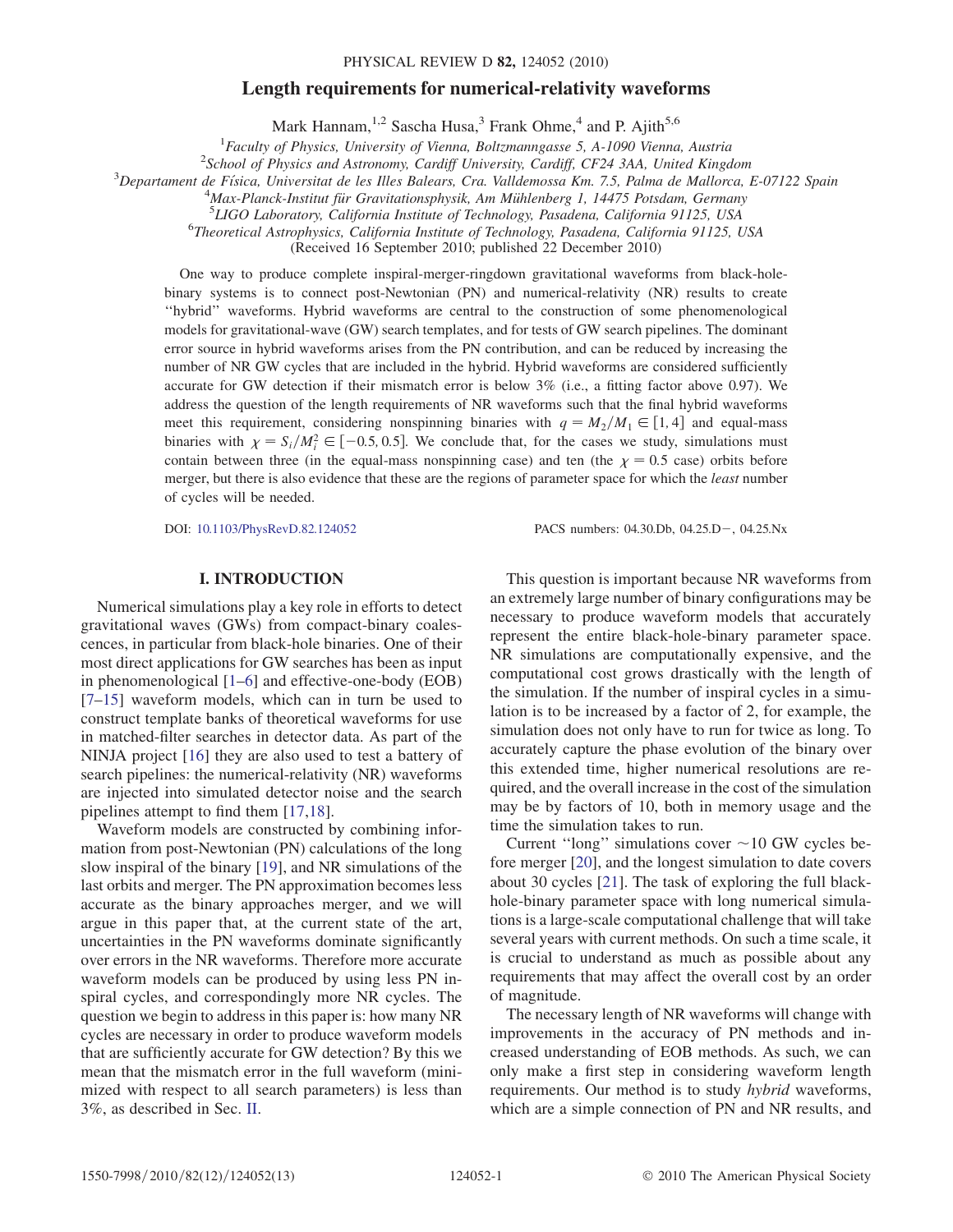#### PHYSICAL REVIEW D 82, 124052 (2010)

# Length requirements for numerical-relativity waveforms

Mark Hannam,  $^{1,2}$  Sascha Husa,<sup>3</sup> Frank Ohme,<sup>4</sup> and P. Ajith<sup>5,6</sup>

<sup>1</sup> Faculty of Physics, University of Vienna, Boltzmanngasse 5, A-1090 Vienna, Austria<sup>2</sup> School of Physics and Astronomy Cardiff University Cardiff CE24.3AA, United Kingd

<sup>2</sup>School of Physics and Astronomy, Cardiff University, Cardiff, CF24 3AA, United Kingdom

 $3$ Departament de Física, Universitat de les Illes Balears, Cra. Valldemossa Km. 7.5, Palma de Mallorca, E-07122 Spain

 $^{4}$ Max-Planck-Institut für Gravitationsphysik, Am Mühlenberg 1, 14475 Potsdam, Germany

 ${}^{5}LIGO$  Laboratory, California Institute of Technology, Pasadena, California 91125, USA

Theoretical Astrophysics, California Institute of Technology, Pasadena, California 91125, USA

(Received 16 September 2010; published 22 December 2010)

One way to produce complete inspiral-merger-ringdown gravitational waveforms from black-holebinary systems is to connect post-Newtonian (PN) and numerical-relativity (NR) results to create ''hybrid'' waveforms. Hybrid waveforms are central to the construction of some phenomenological models for gravitational-wave (GW) search templates, and for tests of GW search pipelines. The dominant error source in hybrid waveforms arises from the PN contribution, and can be reduced by increasing the number of NR GW cycles that are included in the hybrid. Hybrid waveforms are considered sufficiently accurate for GW detection if their mismatch error is below 3% (i.e., a fitting factor above 0.97). We address the question of the length requirements of NR waveforms such that the final hybrid waveforms meet this requirement, considering nonspinning binaries with  $q = M_2/M_1 \in [1, 4]$  and equal-mass binaries with  $\chi = S_i/M_i^2 \in [-0.5, 0.5]$ . We conclude that, for the cases we study, simulations must<br>contain between three (in the equal mass nonspiring case) and ten (the  $\chi = 0.5$  case) orbits before binaries with  $\chi = S_i / M_i^2 \in [-0.5, 0.5]$ . We conclude that, for the cases we study, simulations must<br>contain between three (in the equal-mass nonspinning case) and ten (the  $\chi = 0.5$  case) orbits before<br>marger but there is merger, but there is also evidence that these are the regions of parameter space for which the *least* number of cycles will be needed.

DOI: [10.1103/PhysRevD.82.124052](http://dx.doi.org/10.1103/PhysRevD.82.124052)

PACS numbers: 04.30.Db, 04.25.D-, 04.25.Nx

### I. INTRODUCTION

Numerical simulations play a key role in efforts to detect gravitational waves (GWs) from compact-binary coalescences, in particular from black-hole binaries. One of their most direct applications for GW searches has been as input in phenomenological [[1](#page-12-0)[–6\]](#page-12-1) and effective-one-body (EOB) [\[7–](#page-12-2)[15](#page-12-3)] waveform models, which can in turn be used to construct template banks of theoretical waveforms for use in matched-filter searches in detector data. As part of the NINJA project [[16](#page-12-4)] they are also used to test a battery of search pipelines: the numerical-relativity (NR) waveforms are injected into simulated detector noise and the search pipelines attempt to find them [\[17,](#page-12-5)[18\]](#page-12-6).

Waveform models are constructed by combining information from post-Newtonian (PN) calculations of the long slow inspiral of the binary [[19](#page-12-7)], and NR simulations of the last orbits and merger. The PN approximation becomes less accurate as the binary approaches merger, and we will argue in this paper that, at the current state of the art, uncertainties in the PN waveforms dominate significantly over errors in the NR waveforms. Therefore more accurate waveform models can be produced by using less PN inspiral cycles, and correspondingly more NR cycles. The question we begin to address in this paper is: how many NR cycles are necessary in order to produce waveform models that are sufficiently accurate for GW detection? By this we mean that the mismatch error in the full waveform (minimized with respect to all search parameters) is less than 3%, as described in Sec. [II](#page-1-0).

This question is important because NR waveforms from an extremely large number of binary configurations may be necessary to produce waveform models that accurately represent the entire black-hole-binary parameter space. NR simulations are computationally expensive, and the computational cost grows drastically with the length of the simulation. If the number of inspiral cycles in a simulation is to be increased by a factor of 2, for example, the simulation does not only have to run for twice as long. To accurately capture the phase evolution of the binary over this extended time, higher numerical resolutions are required, and the overall increase in the cost of the simulation may be by factors of 10, both in memory usage and the time the simulation takes to run.

Current "long" simulations cover  $\sim$  10 GW cycles before merger [\[20\]](#page-12-8), and the longest simulation to date covers about 30 cycles [\[21\]](#page-12-9). The task of exploring the full blackhole-binary parameter space with long numerical simulations is a large-scale computational challenge that will take several years with current methods. On such a time scale, it is crucial to understand as much as possible about any requirements that may affect the overall cost by an order of magnitude.

The necessary length of NR waveforms will change with improvements in the accuracy of PN methods and increased understanding of EOB methods. As such, we can only make a first step in considering waveform length requirements. Our method is to study hybrid waveforms, which are a simple connection of PN and NR results, and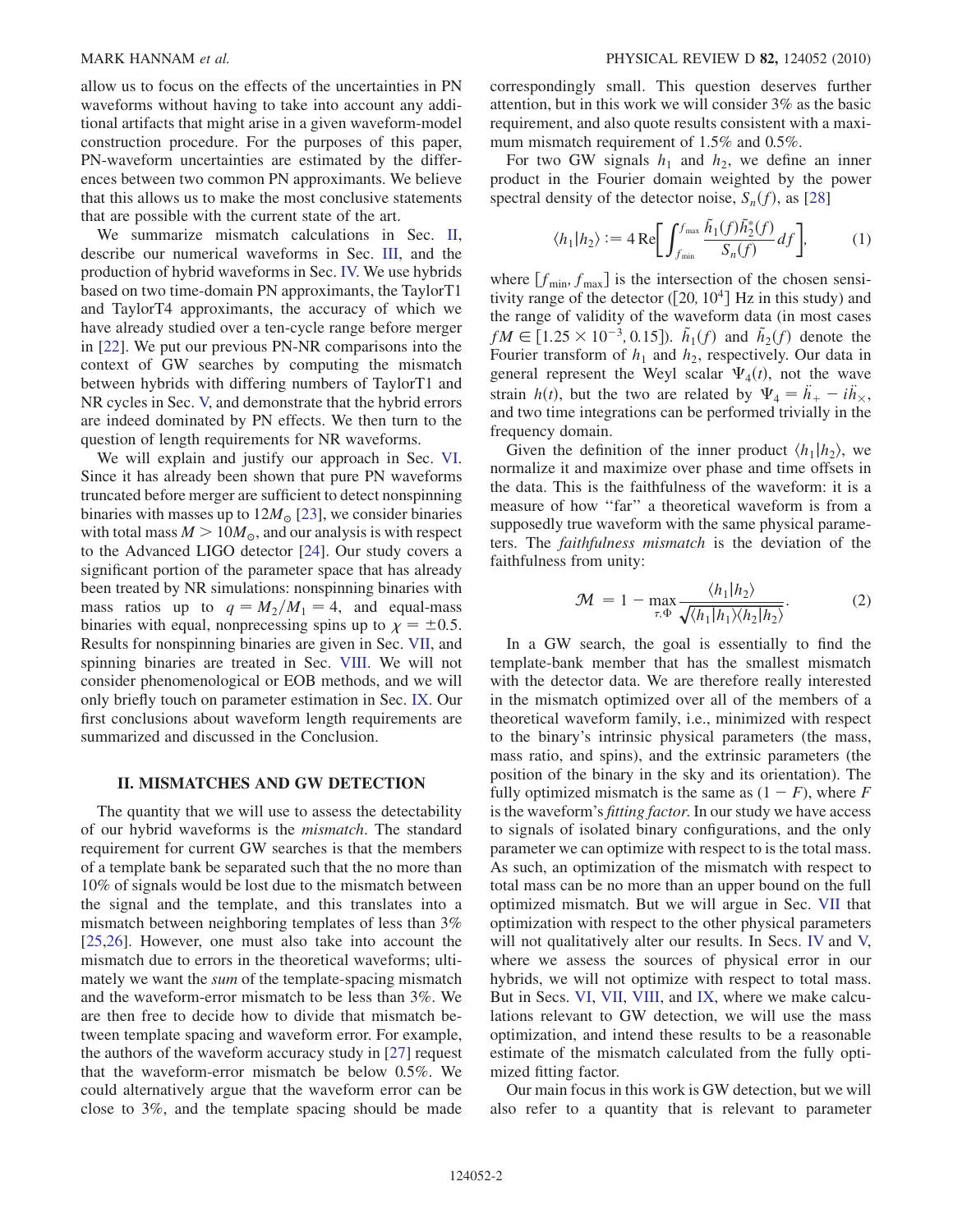allow us to focus on the effects of the uncertainties in PN waveforms without having to take into account any additional artifacts that might arise in a given waveform-model construction procedure. For the purposes of this paper, PN-waveform uncertainties are estimated by the differences between two common PN approximants. We believe that this allows us to make the most conclusive statements that are possible with the current state of the art.

We summarize mismatch calculations in Sec. [II](#page-1-0), describe our numerical waveforms in Sec. [III](#page-2-0), and the production of hybrid waveforms in Sec. [IV.](#page-2-1) We use hybrids based on two time-domain PN approximants, the TaylorT1 and TaylorT4 approximants, the accuracy of which we have already studied over a ten-cycle range before merger in [[22\]](#page-12-10). We put our previous PN-NR comparisons into the context of GW searches by computing the mismatch between hybrids with differing numbers of TaylorT1 and NR cycles in Sec. [V,](#page-3-0) and demonstrate that the hybrid errors are indeed dominated by PN effects. We then turn to the question of length requirements for NR waveforms.

We will explain and justify our approach in Sec. [VI](#page-5-0). Since it has already been shown that pure PN waveforms truncated before merger are sufficient to detect nonspinning binaries with masses up to  $12M_{\odot}$  [[23\]](#page-12-11), we consider binaries with total mass  $M > 10M_{\odot}$ , and our analysis is with respect to the Advanced LIGO detector [\[24\]](#page-12-12). Our study covers a significant portion of the parameter space that has already been treated by NR simulations: nonspinning binaries with mass ratios up to  $q = M_2/M_1 = 4$ , and equal-mass binaries with equal, nonprecessing spins up to  $\chi = \pm 0.5$ . Results for nonspinning binaries are given in Sec. [VII,](#page-6-0) and spinning binaries are treated in Sec. [VIII.](#page-8-0) We will not consider phenomenological or EOB methods, and we will only briefly touch on parameter estimation in Sec. [IX](#page-10-0). Our first conclusions about waveform length requirements are summarized and discussed in the Conclusion.

## <span id="page-1-0"></span>II. MISMATCHES AND GW DETECTION

The quantity that we will use to assess the detectability of our hybrid waveforms is the mismatch. The standard requirement for current GW searches is that the members of a template bank be separated such that the no more than 10% of signals would be lost due to the mismatch between the signal and the template, and this translates into a mismatch between neighboring templates of less than 3% [\[25](#page-12-13)[,26\]](#page-12-14). However, one must also take into account the mismatch due to errors in the theoretical waveforms; ultimately we want the sum of the template-spacing mismatch and the waveform-error mismatch to be less than 3%. We are then free to decide how to divide that mismatch between template spacing and waveform error. For example, the authors of the waveform accuracy study in [\[27\]](#page-12-15) request that the waveform-error mismatch be below 0.5%. We could alternatively argue that the waveform error can be close to 3%, and the template spacing should be made correspondingly small. This question deserves further attention, but in this work we will consider 3% as the basic requirement, and also quote results consistent with a maximum mismatch requirement of 1.5% and 0.5%.

For two GW signals  $h_1$  and  $h_2$ , we define an inner product in the Fourier domain weighted by the power spectral density of the detector noise,  $S_n(f)$ , as [\[28\]](#page-12-16)

$$
\langle h_1 | h_2 \rangle := 4 \operatorname{Re} \left[ \int_{f_{\min}}^{f_{\max}} \frac{\tilde{h}_1(f) \tilde{h}_2^*(f)}{S_n(f)} df \right],\tag{1}
$$

where  $[f<sub>min</sub>, f<sub>max</sub>]$  is the intersection of the chosen sensitivity range of the detector ( $[20, 10^4]$  Hz in this study) and the range of validity of the waveform data (in most cases  $fM \in [1.25 \times 10^{-3}, 0.15]$ .  $\tilde{h}_1(f)$  and  $\tilde{h}_2(f)$  denote the<br>Fourier transform of h, and h, respectively. Our data in Fourier transform of  $h_1$  and  $h_2$ , respectively. Our data in general represent the Weyl scalar  $\Psi_4(t)$ , not the wave strain  $h(t)$ , but the two are related by  $\Psi_4 = \ddot{h}_+ - i\ddot{h}_{\times}$ ,<br>and two time integrations can be performed trivially in the and two time integrations can be performed trivially in the frequency domain.

Given the definition of the inner product  $\langle h_1 | h_2 \rangle$ , we normalize it and maximize over phase and time offsets in the data. This is the faithfulness of the waveform: it is a measure of how ''far'' a theoretical waveform is from a supposedly true waveform with the same physical parameters. The faithfulness mismatch is the deviation of the faithfulness from unity:

$$
\mathcal{M} = 1 - \max_{\tau, \Phi} \frac{\langle h_1 | h_2 \rangle}{\sqrt{\langle h_1 | h_1 \rangle \langle h_2 | h_2 \rangle}}.
$$
 (2)

In a GW search, the goal is essentially to find the template-bank member that has the smallest mismatch with the detector data. We are therefore really interested in the mismatch optimized over all of the members of a theoretical waveform family, i.e., minimized with respect to the binary's intrinsic physical parameters (the mass, mass ratio, and spins), and the extrinsic parameters (the position of the binary in the sky and its orientation). The fully optimized mismatch is the same as  $(1 - F)$ , where F is the waveform's fitting factor. In our study we have access is the waveform's fitting factor. In our study we have access to signals of isolated binary configurations, and the only parameter we can optimize with respect to is the total mass. As such, an optimization of the mismatch with respect to total mass can be no more than an upper bound on the full optimized mismatch. But we will argue in Sec. [VII](#page-6-0) that optimization with respect to the other physical parameters will not qualitatively alter our results. In Secs. [IV](#page-2-1) and [V,](#page-3-0) where we assess the sources of physical error in our hybrids, we will not optimize with respect to total mass. But in Secs. [VI](#page-5-0), [VII](#page-6-0), [VIII](#page-8-0), and [IX](#page-10-0), where we make calculations relevant to GW detection, we will use the mass optimization, and intend these results to be a reasonable estimate of the mismatch calculated from the fully optimized fitting factor.

Our main focus in this work is GW detection, but we will also refer to a quantity that is relevant to parameter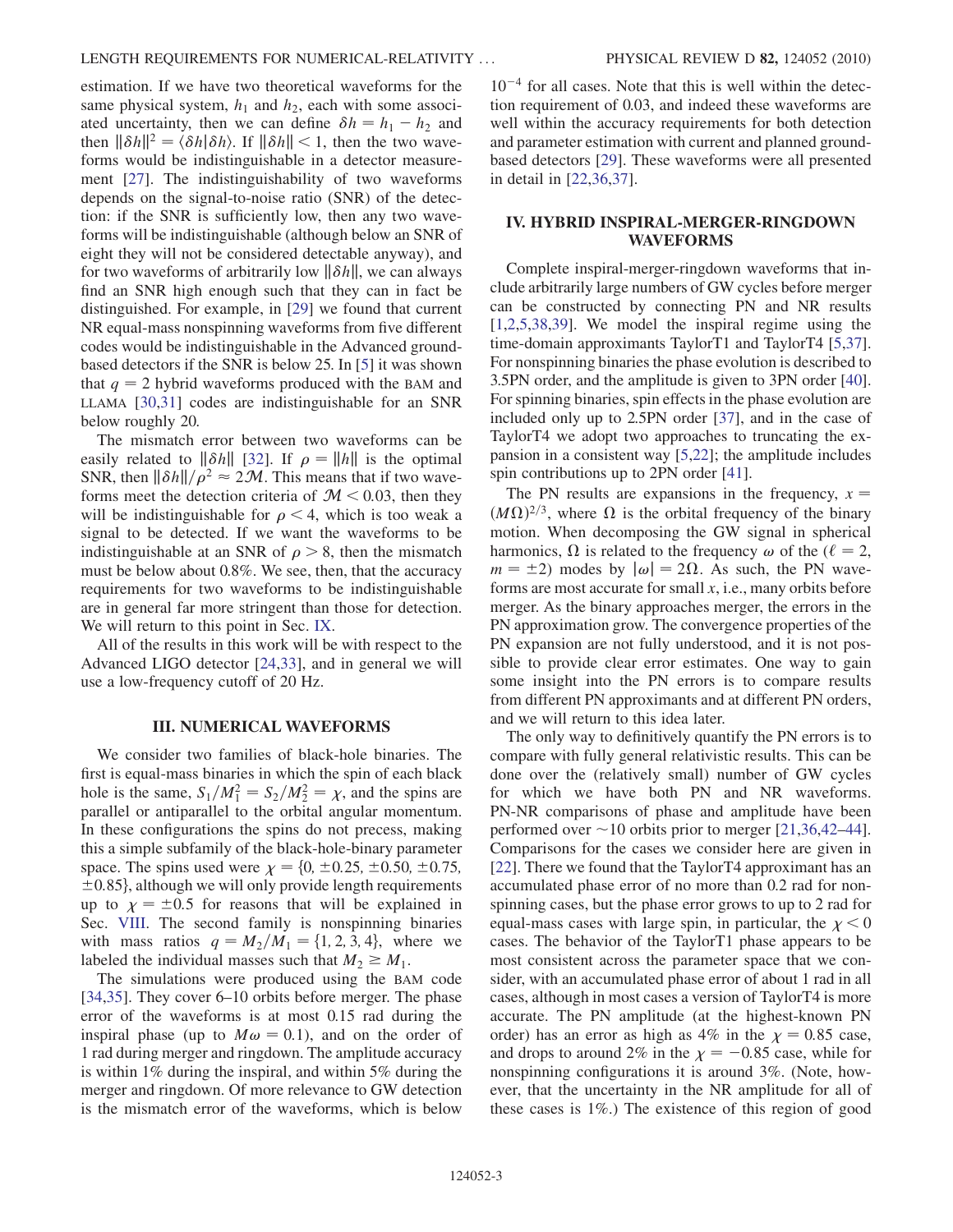estimation. If we have two theoretical waveforms for the same physical system,  $h_1$  and  $h_2$ , each with some associ-ated uncertainty, then we can define  $\delta h = h_1 - h_2$  and<br>then  $\|\delta h\|^2 = (\delta h |\delta h)$  If  $\|\delta h\| < 1$  then the two wavethen  $\|\delta h\|^2 = \langle \delta h | \delta h \rangle$ . If  $\|\delta h\| < 1$ , then the two waveforms would be indistinguishable in a detector measurement [\[27\]](#page-12-15). The indistinguishability of two waveforms depends on the signal-to-noise ratio (SNR) of the detection: if the SNR is sufficiently low, then any two waveforms will be indistinguishable (although below an SNR of eight they will not be considered detectable anyway), and for two waveforms of arbitrarily low  $\|\delta h\|$ , we can always find an SNR high enough such that they can in fact be distinguished. For example, in [[29](#page-12-17)] we found that current NR equal-mass nonspinning waveforms from five different codes would be indistinguishable in the Advanced groundbased detectors if the SNR is below 25. In [[5](#page-12-18)] it was shown that  $q = 2$  hybrid waveforms produced with the BAM and LLAMA [\[30](#page-12-19)[,31\]](#page-12-20) codes are indistinguishable for an SNR below roughly 20.

The mismatch error between two waveforms can be easily related to  $\|\delta h\|$  [\[32\]](#page-12-21). If  $\rho = \|h\|$  is the optimal SNR, then  $\|\delta h\|/\rho^2 \approx 2\mathcal{M}$ . This means that if two waveforms meet the detection criteria of  $M < 0.03$ , then they will be indistinguishable for  $\rho < 4$ , which is too weak a signal to be detected. If we want the waveforms to be indistinguishable at an SNR of  $\rho > 8$ , then the mismatch must be below about 0.8%. We see, then, that the accuracy requirements for two waveforms to be indistinguishable are in general far more stringent than those for detection. We will return to this point in Sec. [IX.](#page-10-0)

All of the results in this work will be with respect to the Advanced LIGO detector [\[24,](#page-12-12)[33\]](#page-12-22), and in general we will use a low-frequency cutoff of 20 Hz.

### III. NUMERICAL WAVEFORMS

<span id="page-2-0"></span>We consider two families of black-hole binaries. The first is equal-mass binaries in which the spin of each black hole is the same,  $S_1/M_1^2 = S_2/M_2^2 = \chi$ , and the spins are<br>parallel or antiparallel to the orbital appular momentum parallel or antiparallel to the orbital angular momentum. In these configurations the spins do not precess, making this a simple subfamily of the black-hole-binary parameter space. The spins used were  $\chi = \{0, \pm 0.25, \pm 0.50, \pm 0.75, \pm 0.75, \pm 0.75, \pm 0.75, \pm 0.75, \pm 0.75, \pm 0.75, \pm 0.75, \pm 0.75, \pm 0.75, \pm 0.75, \pm 0.75, \pm 0.75, \pm 0.75, \pm 0.75, \pm 0.75, \pm 0.75, \pm 0.75, \pm 0.75, \pm 0.75, \pm 0.75, \pm$  $\pm 0.85$ , although we will only provide length requirements up to  $\chi = \pm 0.5$  for reasons that will be explained in Sec. [VIII.](#page-8-0) The second family is nonspinning binaries with mass ratios  $q = M_2/M_1 = \{1, 2, 3, 4\}$ , where we labeled the individual masses such that  $M_2 \geq M_1$ .

The simulations were produced using the BAM code [\[34](#page-12-23)[,35\]](#page-12-24). They cover 6–10 orbits before merger. The phase error of the waveforms is at most 0.15 rad during the inspiral phase (up to  $M\omega = 0.1$ ), and on the order of 1 rad during merger and ringdown. The amplitude accuracy is within 1% during the inspiral, and within 5% during the merger and ringdown. Of more relevance to GW detection is the mismatch error of the waveforms, which is below

 $10^{-4}$  for all cases. Note that this is well within the detection requirement of 0.03, and indeed these waveforms are well within the accuracy requirements for both detection and parameter estimation with current and planned groundbased detectors [\[29\]](#page-12-17). These waveforms were all presented in detail in [\[22](#page-12-10)[,36](#page-12-25)[,37\]](#page-12-26).

# <span id="page-2-1"></span>IV. HYBRID INSPIRAL-MERGER-RINGDOWN WAVEFORMS

Complete inspiral-merger-ringdown waveforms that include arbitrarily large numbers of GW cycles before merger can be constructed by connecting PN and NR results [\[1,](#page-12-0)[2](#page-12-27),[5](#page-12-18),[38](#page-12-28),[39\]](#page-12-29). We model the inspiral regime using the time-domain approximants TaylorT1 and TaylorT4 [[5](#page-12-18),[37](#page-12-26)]. For nonspinning binaries the phase evolution is described to 3.5PN order, and the amplitude is given to 3PN order [[40](#page-12-30)]. For spinning binaries, spin effects in the phase evolution are included only up to 2.5PN order [[37](#page-12-26)], and in the case of TaylorT4 we adopt two approaches to truncating the expansion in a consistent way [\[5,](#page-12-18)[22\]](#page-12-10); the amplitude includes spin contributions up to 2PN order [\[41\]](#page-12-31).

The PN results are expansions in the frequency,  $x =$  $(M\Omega)^{2/3}$ , where  $\Omega$  is the orbital frequency of the binary<br>motion. When decomposing the GW signal in spherical motion. When decomposing the GW signal in spherical harmonics,  $\Omega$  is related to the frequency  $\omega$  of the ( $\ell = 2$ ,  $m = \pm 2$ ) modes by  $|\omega| = 2\Omega$ . As such, the PN waveforms are most accurate for small  $x$ , i.e., many orbits before merger. As the binary approaches merger, the errors in the PN approximation grow. The convergence properties of the PN expansion are not fully understood, and it is not possible to provide clear error estimates. One way to gain some insight into the PN errors is to compare results from different PN approximants and at different PN orders, and we will return to this idea later.

The only way to definitively quantify the PN errors is to compare with fully general relativistic results. This can be done over the (relatively small) number of GW cycles for which we have both PN and NR waveforms. PN-NR comparisons of phase and amplitude have been performed over  $\sim$  10 orbits prior to merger [[21](#page-12-9),[36](#page-12-25),[42](#page-12-32)–[44\]](#page-12-33). Comparisons for the cases we consider here are given in [\[22\]](#page-12-10). There we found that the TaylorT4 approximant has an accumulated phase error of no more than 0.2 rad for nonspinning cases, but the phase error grows to up to 2 rad for equal-mass cases with large spin, in particular, the  $\chi$  < 0 cases. The behavior of the TaylorT1 phase appears to be most consistent across the parameter space that we consider, with an accumulated phase error of about 1 rad in all cases, although in most cases a version of TaylorT4 is more accurate. The PN amplitude (at the highest-known PN order) has an error as high as 4% in the  $\chi = 0.85$  case, and drops to around 2% in the  $\chi = -0.85$  case, while for nonspinning configurations it is around 3%. (Note hownonspinning configurations it is around 3%. (Note, however, that the uncertainty in the NR amplitude for all of these cases is 1%.) The existence of this region of good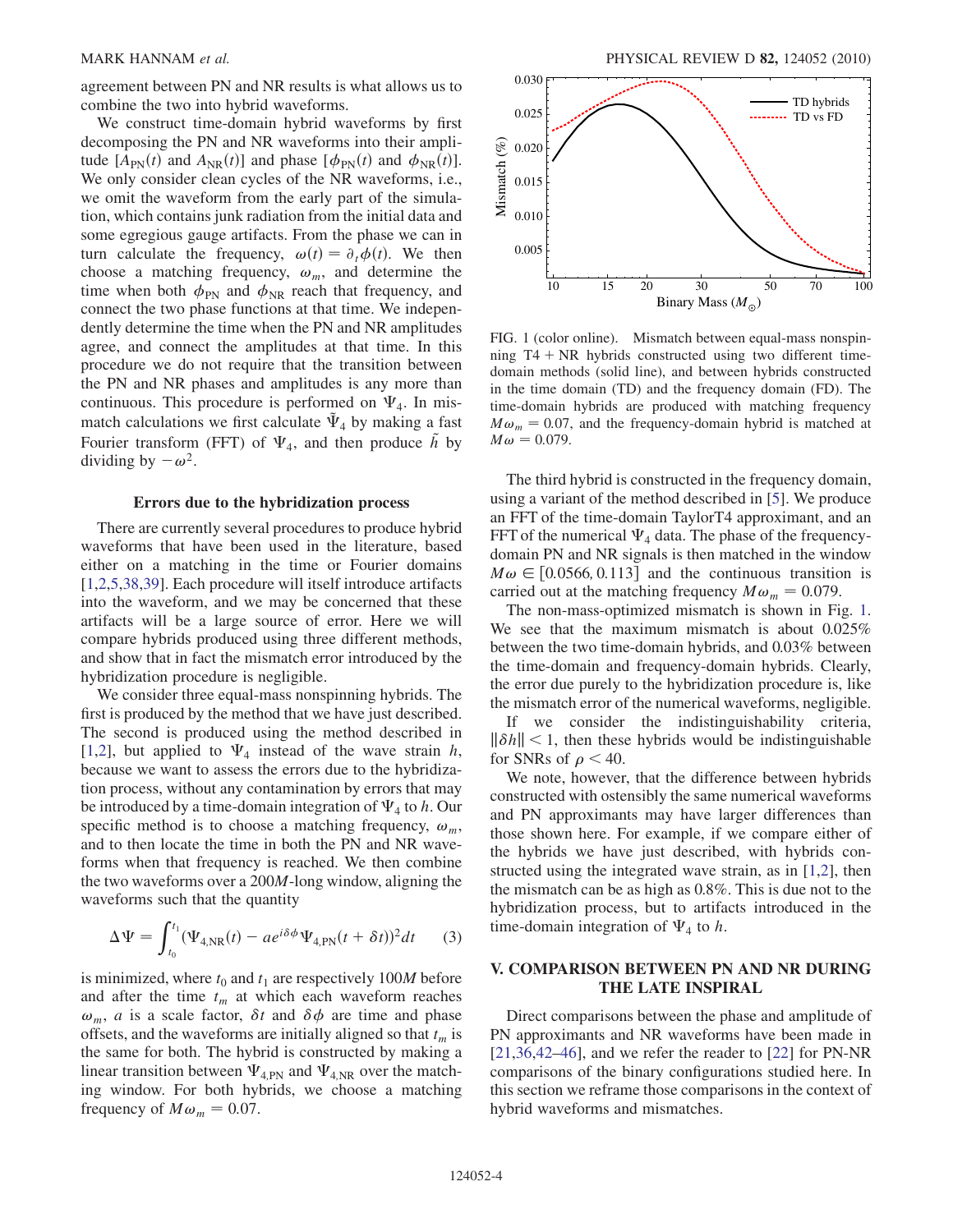agreement between PN and NR results is what allows us to combine the two into hybrid waveforms.

We construct time-domain hybrid waveforms by first decomposing the PN and NR waveforms into their amplitude  $[A_{PN}(t)$  and  $A_{NR}(t)]$  and phase  $[\phi_{PN}(t)]$  and  $\phi_{NR}(t)$ ]. We only consider clean cycles of the NR waveforms, i.e., we omit the waveform from the early part of the simulation, which contains junk radiation from the initial data and some egregious gauge artifacts. From the phase we can in turn calculate the frequency,  $\omega(t) = \partial_t \phi(t)$ . We then choose a matching frequency,  $\omega_m$ , and determine the time when both  $\phi_{PN}$  and  $\phi_{NR}$  reach that frequency, and connect the two phase functions at that time. We independently determine the time when the PN and NR amplitudes agree, and connect the amplitudes at that time. In this procedure we do not require that the transition between the PN and NR phases and amplitudes is any more than continuous. This procedure is performed on  $\Psi_4$ . In mismatch calculations we first calculate  $\Psi_4$  by making a fast Fourier transform (FFT) of  $\Psi_4$ , and then produce  $\tilde{h}$  by dividing by  $-\omega^2$ .

#### Errors due to the hybridization process

There are currently several procedures to produce hybrid waveforms that have been used in the literature, based either on a matching in the time or Fourier domains [\[1,](#page-12-0)[2](#page-12-27)[,5](#page-12-18),[38](#page-12-28)[,39](#page-12-29)]. Each procedure will itself introduce artifacts into the waveform, and we may be concerned that these artifacts will be a large source of error. Here we will compare hybrids produced using three different methods, and show that in fact the mismatch error introduced by the hybridization procedure is negligible.

We consider three equal-mass nonspinning hybrids. The first is produced by the method that we have just described. The second is produced using the method described in [\[1,](#page-12-0)[2](#page-12-27)], but applied to  $\Psi_4$  instead of the wave strain h, because we want to assess the errors due to the hybridization process, without any contamination by errors that may be introduced by a time-domain integration of  $\Psi_4$  to h. Our specific method is to choose a matching frequency,  $\omega_m$ , and to then locate the time in both the PN and NR waveforms when that frequency is reached. We then combine the two waveforms over a 200M-long window, aligning the waveforms such that the quantity

$$
\Delta \Psi = \int_{t_0}^{t_1} (\Psi_{4,\text{NR}}(t) - a e^{i\delta \phi} \Psi_{4,\text{PN}}(t + \delta t))^2 dt \qquad (3)
$$

is minimized, where  $t_0$  and  $t_1$  are respectively 100M before and after the time  $t_m$  at which each waveform reaches  $\omega_m$ , a is a scale factor,  $\delta t$  and  $\delta \phi$  are time and phase offsets, and the waveforms are initially aligned so that  $t_m$  is the same for both. The hybrid is constructed by making a linear transition between  $\Psi_{4,\text{PN}}$  and  $\Psi_{4,\text{NR}}$  over the matching window. For both hybrids, we choose a matching frequency of  $M\omega_m = 0.07$ .

<span id="page-3-1"></span>

FIG. 1 (color online). Mismatch between equal-mass nonspinning  $T4 + NR$  hybrids constructed using two different timedomain methods (solid line), and between hybrids constructed in the time domain (TD) and the frequency domain (FD). The time-domain hybrids are produced with matching frequency  $M\omega_m = 0.07$ , and the frequency-domain hybrid is matched at  $M\omega = 0.079.$ 

The third hybrid is constructed in the frequency domain, using a variant of the method described in [\[5](#page-12-18)]. We produce an FFT of the time-domain TaylorT4 approximant, and an FFT of the numerical  $\Psi_4$  data. The phase of the frequencydomain PN and NR signals is then matched in the window  $M\omega \in [0.0566, 0.113]$  and the continuous transition is carried out at the matching frequency  $M\omega_m = 0.079$ .

The non-mass-optimized mismatch is shown in Fig. [1](#page-3-1). We see that the maximum mismatch is about  $0.025\%$ between the two time-domain hybrids, and 0.03% between the time-domain and frequency-domain hybrids. Clearly, the error due purely to the hybridization procedure is, like the mismatch error of the numerical waveforms, negligible. If we consider the indistinguishability criteria,  $\|\delta h\|$  < 1, then these hybrids would be indistinguishable for SNRs of  $\rho < 40$ .

We note, however, that the difference between hybrids constructed with ostensibly the same numerical waveforms and PN approximants may have larger differences than those shown here. For example, if we compare either of the hybrids we have just described, with hybrids constructed using the integrated wave strain, as in [[1](#page-12-0)[,2\]](#page-12-27), then the mismatch can be as high as 0.8%. This is due not to the hybridization process, but to artifacts introduced in the time-domain integration of  $\Psi_4$  to h.

## <span id="page-3-0"></span>V. COMPARISON BETWEEN PN AND NR DURING THE LATE INSPIRAL

Direct comparisons between the phase and amplitude of PN approximants and NR waveforms have been made in  $[21,36,42-46]$  $[21,36,42-46]$  $[21,36,42-46]$  $[21,36,42-46]$ , and we refer the reader to  $[22]$  for PN-NR comparisons of the binary configurations studied here. In this section we reframe those comparisons in the context of hybrid waveforms and mismatches.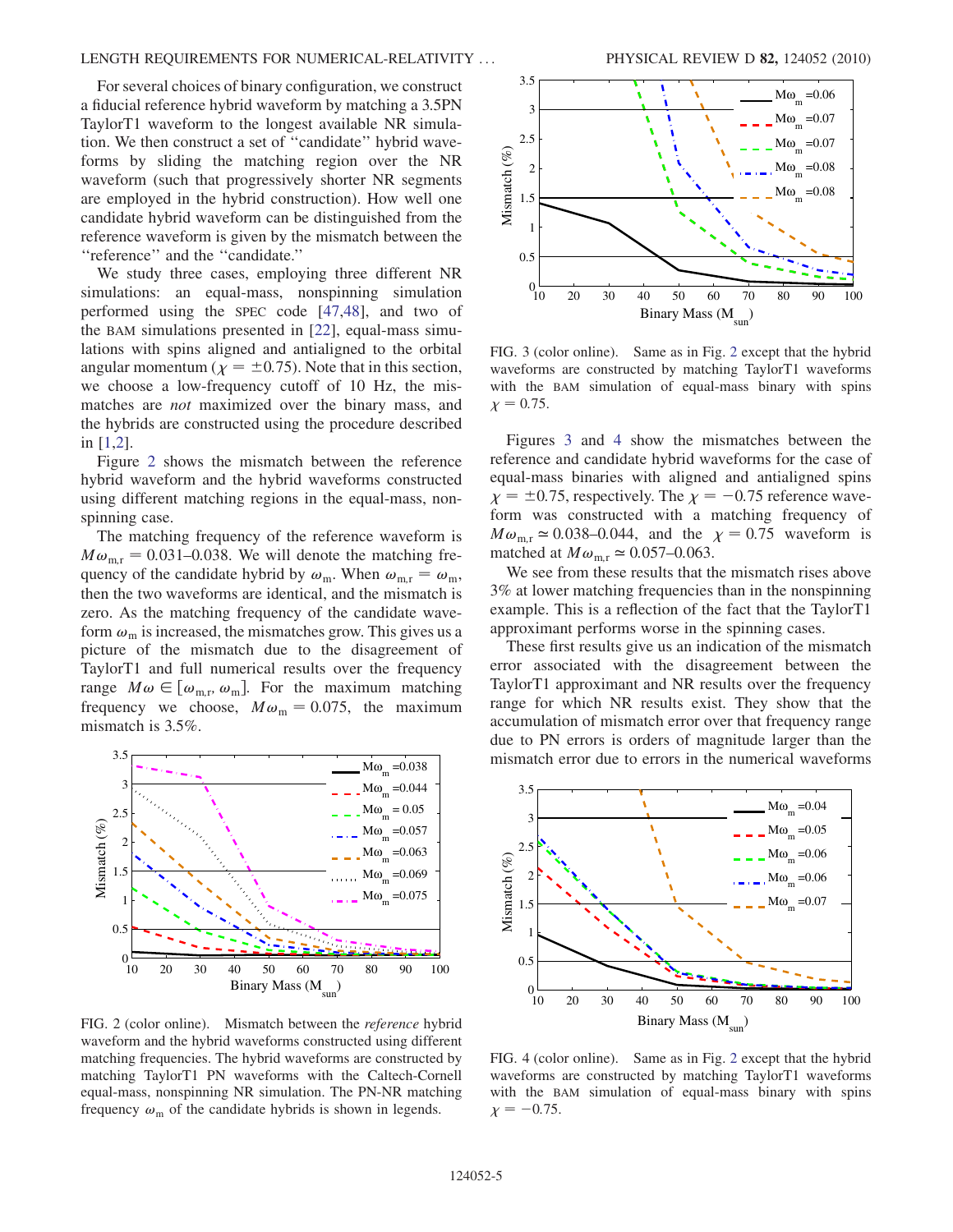### LENGTH REQUIREMENTS FOR NUMERICAL-RELATIVITY ... PHYSICAL REVIEW D 82, 124052 (2010)

For several choices of binary configuration, we construct a fiducial reference hybrid waveform by matching a 3.5PN TaylorT1 waveform to the longest available NR simulation. We then construct a set of ''candidate'' hybrid waveforms by sliding the matching region over the NR waveform (such that progressively shorter NR segments are employed in the hybrid construction). How well one candidate hybrid waveform can be distinguished from the reference waveform is given by the mismatch between the ''reference'' and the ''candidate.''

We study three cases, employing three different NR simulations: an equal-mass, nonspinning simulation performed using the SPEC code [[47](#page-12-35),[48](#page-12-36)], and two of the BAM simulations presented in [\[22\]](#page-12-10), equal-mass simulations with spins aligned and antialigned to the orbital angular momentum ( $\chi = \pm 0.75$ ). Note that in this section, we choose a low-frequency cutoff of 10 Hz, the mismatches are *not* maximized over the binary mass, and the hybrids are constructed using the procedure described in [[1](#page-12-0)[,2\]](#page-12-27).

Figure [2](#page-4-0) shows the mismatch between the reference hybrid waveform and the hybrid waveforms constructed using different matching regions in the equal-mass, nonspinning case.

The matching frequency of the reference waveform is  $M\omega_{\text{mr}} = 0.031{\text{-}}0.038$ . We will denote the matching frequency of the candidate hybrid by  $\omega_{\rm m}$ . When  $\omega_{\rm m,r} = \omega_{\rm m}$ , then the two waveforms are identical, and the mismatch is zero. As the matching frequency of the candidate waveform  $\omega_m$  is increased, the mismatches grow. This gives us a picture of the mismatch due to the disagreement of TaylorT1 and full numerical results over the frequency range  $M\omega \in [\omega_{m,r}, \omega_m]$ . For the maximum matching frequency we choose,  $M\omega_{\rm m} = 0.075$ , the maximum mismatch is 3.5%.

<span id="page-4-0"></span>

FIG. 2 (color online). Mismatch between the reference hybrid waveform and the hybrid waveforms constructed using different matching frequencies. The hybrid waveforms are constructed by matching TaylorT1 PN waveforms with the Caltech-Cornell equal-mass, nonspinning NR simulation. The PN-NR matching frequency  $\omega_{\rm m}$  of the candidate hybrids is shown in legends.

<span id="page-4-1"></span>

FIG. 3 (color online). Same as in Fig. [2](#page-4-0) except that the hybrid waveforms are constructed by matching TaylorT1 waveforms with the BAM simulation of equal-mass binary with spins  $\chi = 0.75$ .

Figures [3](#page-4-1) and [4](#page-4-2) show the mismatches between the reference and candidate hybrid waveforms for the case of equal-mass binaries with aligned and antialigned spins  $\chi = \pm 0.75$ , respectively. The  $\chi = -0.75$  reference wave-<br>form was constructed with a matching frequency of form was constructed with a matching frequency of  $M\omega_{\text{m.r}} \approx 0.038{\text{-}}0.044$ , and the  $\chi = 0.75$  waveform is matched at  $M\omega_{\text{m.r}} \simeq 0.057{\text -}0.063$ .

We see from these results that the mismatch rises above 3% at lower matching frequencies than in the nonspinning example. This is a reflection of the fact that the TaylorT1 approximant performs worse in the spinning cases.

These first results give us an indication of the mismatch error associated with the disagreement between the TaylorT1 approximant and NR results over the frequency range for which NR results exist. They show that the accumulation of mismatch error over that frequency range due to PN errors is orders of magnitude larger than the mismatch error due to errors in the numerical waveforms

<span id="page-4-2"></span>

FIG. 4 (color online). Same as in Fig. [2](#page-4-0) except that the hybrid waveforms are constructed by matching TaylorT1 waveforms with the BAM simulation of equal-mass binary with spins  $\chi = -0.75$ .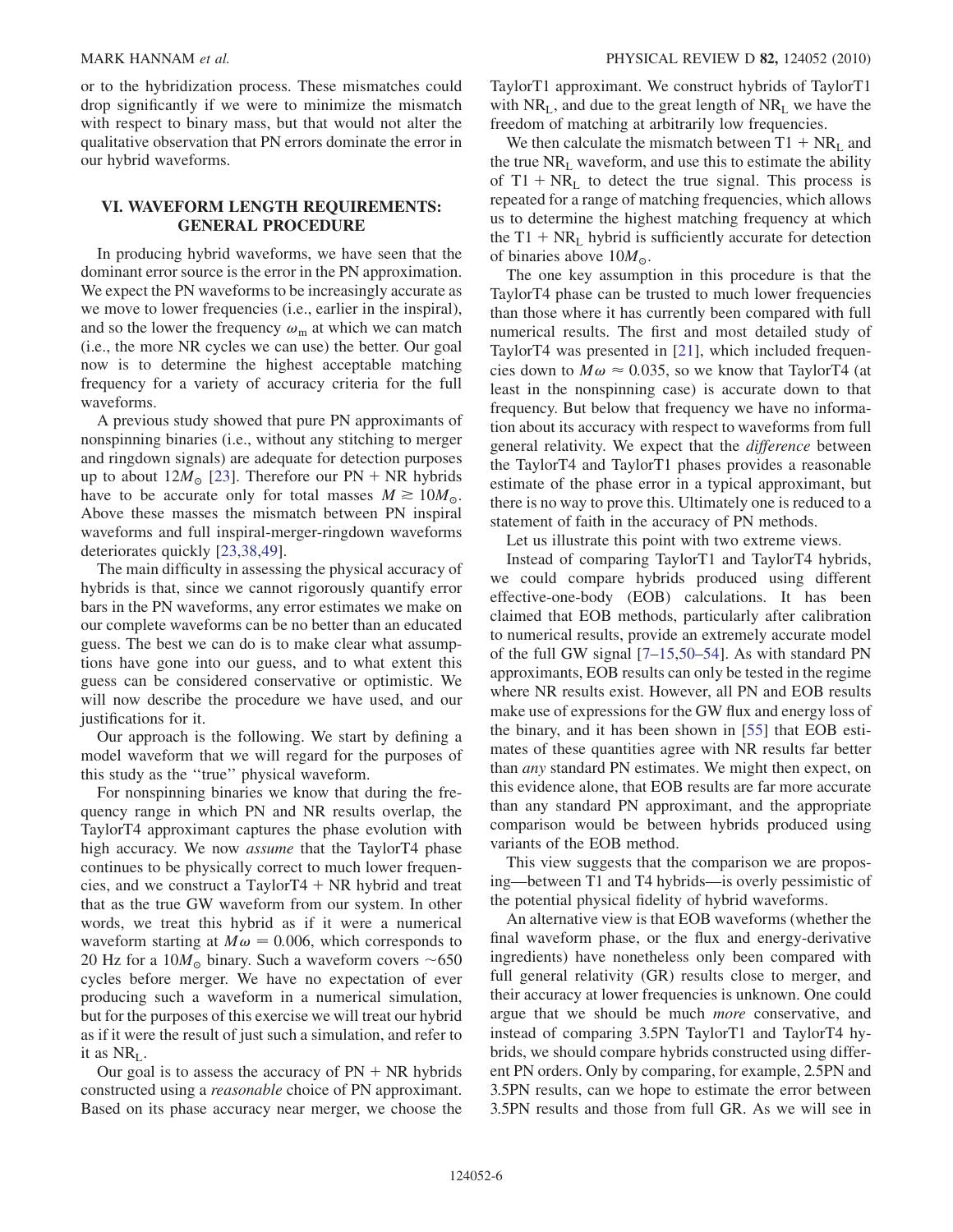or to the hybridization process. These mismatches could drop significantly if we were to minimize the mismatch with respect to binary mass, but that would not alter the qualitative observation that PN errors dominate the error in our hybrid waveforms.

## <span id="page-5-0"></span>VI. WAVEFORM LENGTH REQUIREMENTS: GENERAL PROCEDURE

In producing hybrid waveforms, we have seen that the dominant error source is the error in the PN approximation. We expect the PN waveforms to be increasingly accurate as we move to lower frequencies (i.e., earlier in the inspiral), and so the lower the frequency  $\omega_m$  at which we can match (i.e., the more NR cycles we can use) the better. Our goal now is to determine the highest acceptable matching frequency for a variety of accuracy criteria for the full waveforms.

A previous study showed that pure PN approximants of nonspinning binaries (i.e., without any stitching to merger and ringdown signals) are adequate for detection purposes up to about  $12M_{\odot}$  [[23](#page-12-11)]. Therefore our PN + NR hybrids have to be accurate only for total masses  $M \ge 10M_{\odot}$ . Above these masses the mismatch between PN inspiral waveforms and full inspiral-merger-ringdown waveforms deteriorates quickly [[23](#page-12-11)[,38](#page-12-28)[,49\]](#page-12-37).

The main difficulty in assessing the physical accuracy of hybrids is that, since we cannot rigorously quantify error bars in the PN waveforms, any error estimates we make on our complete waveforms can be no better than an educated guess. The best we can do is to make clear what assumptions have gone into our guess, and to what extent this guess can be considered conservative or optimistic. We will now describe the procedure we have used, and our justifications for it.

Our approach is the following. We start by defining a model waveform that we will regard for the purposes of this study as the ''true'' physical waveform.

For nonspinning binaries we know that during the frequency range in which PN and NR results overlap, the TaylorT4 approximant captures the phase evolution with high accuracy. We now *assume* that the TaylorT4 phase continues to be physically correct to much lower frequencies, and we construct a TaylorT4  $+$  NR hybrid and treat that as the true GW waveform from our system. In other words, we treat this hybrid as if it were a numerical waveform starting at  $M\omega = 0.006$ , which corresponds to 20 Hz for a  $10M_{\odot}$  binary. Such a waveform covers ~650 cycles before merger. We have no expectation of ever producing such a waveform in a numerical simulation, but for the purposes of this exercise we will treat our hybrid as if it were the result of just such a simulation, and refer to it as  $NR_{L}$ .

Our goal is to assess the accuracy of  $PN + NR$  hybrids constructed using a reasonable choice of PN approximant. Based on its phase accuracy near merger, we choose the TaylorT1 approximant. We construct hybrids of TaylorT1 with  $NR_{L}$ , and due to the great length of  $NR_{L}$  we have the freedom of matching at arbitrarily low frequencies.

We then calculate the mismatch between  $T1 + NR<sub>L</sub>$  and the true  $NR_{L}$  waveform, and use this to estimate the ability of  $T1 + NR<sub>L</sub>$  to detect the true signal. This process is repeated for a range of matching frequencies, which allows us to determine the highest matching frequency at which the T1 +  $NR<sub>L</sub>$  hybrid is sufficiently accurate for detection of binaries above  $10M_{\odot}$ .

The one key assumption in this procedure is that the TaylorT4 phase can be trusted to much lower frequencies than those where it has currently been compared with full numerical results. The first and most detailed study of TaylorT4 was presented in [[21](#page-12-9)], which included frequencies down to  $M\omega \approx 0.035$ , so we know that TaylorT4 (at least in the nonspinning case) is accurate down to that frequency. But below that frequency we have no information about its accuracy with respect to waveforms from full general relativity. We expect that the difference between the TaylorT4 and TaylorT1 phases provides a reasonable estimate of the phase error in a typical approximant, but there is no way to prove this. Ultimately one is reduced to a statement of faith in the accuracy of PN methods.

Let us illustrate this point with two extreme views.

Instead of comparing TaylorT1 and TaylorT4 hybrids, we could compare hybrids produced using different effective-one-body (EOB) calculations. It has been claimed that EOB methods, particularly after calibration to numerical results, provide an extremely accurate model of the full GW signal [[7](#page-12-2)[–15](#page-12-3)[,50–](#page-12-38)[54](#page-12-39)]. As with standard PN approximants, EOB results can only be tested in the regime where NR results exist. However, all PN and EOB results make use of expressions for the GW flux and energy loss of the binary, and it has been shown in [\[55\]](#page-12-40) that EOB estimates of these quantities agree with NR results far better than any standard PN estimates. We might then expect, on this evidence alone, that EOB results are far more accurate than any standard PN approximant, and the appropriate comparison would be between hybrids produced using variants of the EOB method.

This view suggests that the comparison we are proposing—between T1 and T4 hybrids—is overly pessimistic of the potential physical fidelity of hybrid waveforms.

An alternative view is that EOB waveforms (whether the final waveform phase, or the flux and energy-derivative ingredients) have nonetheless only been compared with full general relativity (GR) results close to merger, and their accuracy at lower frequencies is unknown. One could argue that we should be much more conservative, and instead of comparing 3.5PN TaylorT1 and TaylorT4 hybrids, we should compare hybrids constructed using different PN orders. Only by comparing, for example, 2.5PN and 3.5PN results, can we hope to estimate the error between 3.5PN results and those from full GR. As we will see in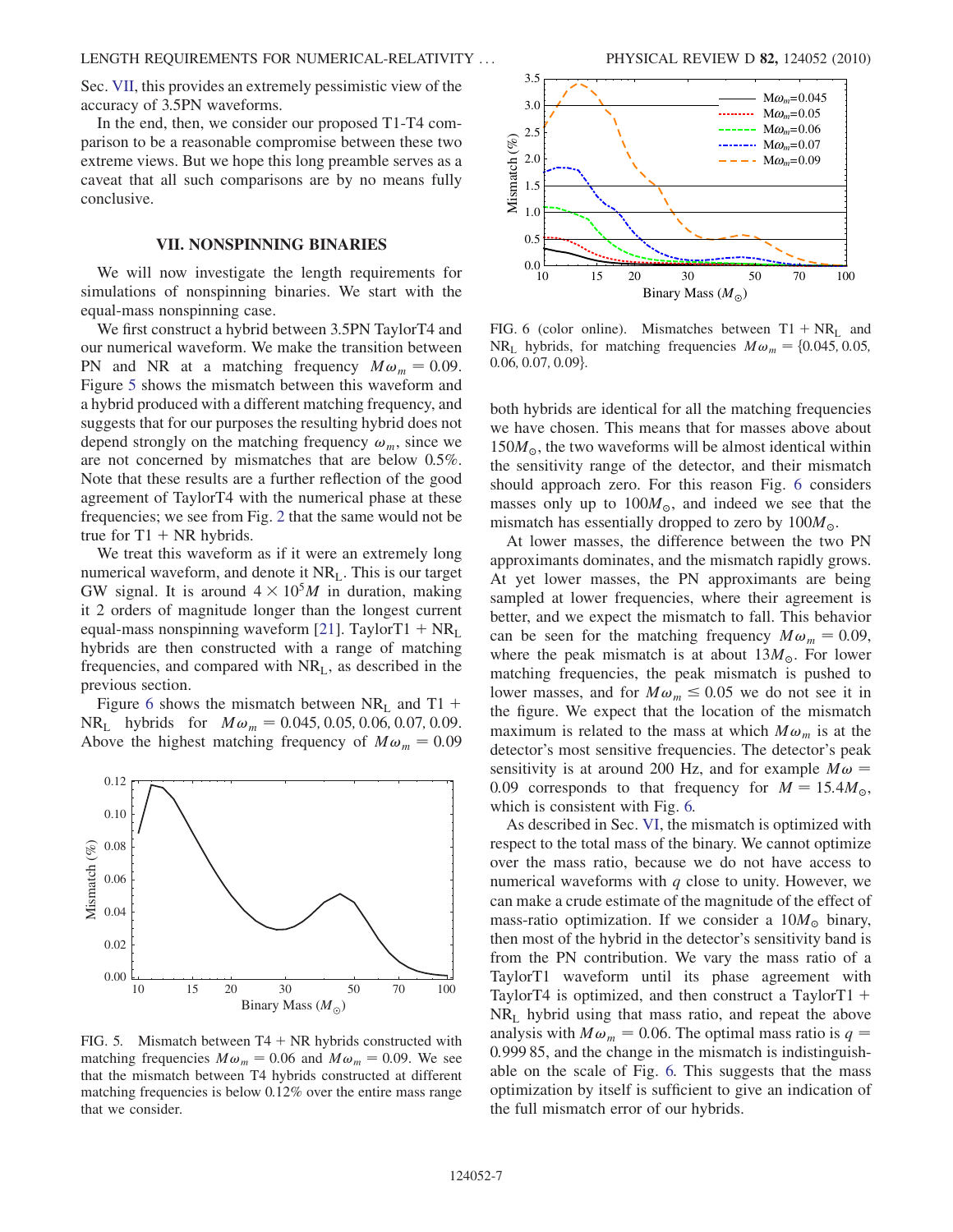Sec. [VII](#page-6-0), this provides an extremely pessimistic view of the accuracy of 3.5PN waveforms.

In the end, then, we consider our proposed T1-T4 comparison to be a reasonable compromise between these two extreme views. But we hope this long preamble serves as a caveat that all such comparisons are by no means fully conclusive.

## VII. NONSPINNING BINARIES

<span id="page-6-0"></span>We will now investigate the length requirements for simulations of nonspinning binaries. We start with the equal-mass nonspinning case.

We first construct a hybrid between 3.5PN TaylorT4 and our numerical waveform. We make the transition between PN and NR at a matching frequency  $M\omega_m = 0.09$ . Figure [5](#page-6-1) shows the mismatch between this waveform and a hybrid produced with a different matching frequency, and suggests that for our purposes the resulting hybrid does not depend strongly on the matching frequency  $\omega_m$ , since we are not concerned by mismatches that are below 0.5%. Note that these results are a further reflection of the good agreement of TaylorT4 with the numerical phase at these frequencies; we see from Fig. [2](#page-4-0) that the same would not be true for  $T1 + NR$  hybrids.

We treat this waveform as if it were an extremely long numerical waveform, and denote it  $NR<sub>L</sub>$ . This is our target GW signal. It is around  $4 \times 10^5 M$  in duration, making it 2 orders of magnitude longer than the longest current equal-mass nonspinning waveform [\[21\]](#page-12-9). TaylorT1 +  $NR<sub>L</sub>$ hybrids are then constructed with a range of matching frequencies, and compared with NRL, as described in the previous section.

Figure [6](#page-6-2) shows the mismatch between  $NR_L$  and T1 +  $NR_{L}$  hybrids for  $M\omega_{m} = 0.045, 0.05, 0.06, 0.07, 0.09$ . Above the highest matching frequency of  $M\omega_m = 0.09$ 

<span id="page-6-1"></span>

FIG. 5. Mismatch between  $T4 + NR$  hybrids constructed with matching frequencies  $M\omega_m = 0.06$  and  $M\omega_m = 0.09$ . We see that the mismatch between T4 hybrids constructed at different matching frequencies is below 0.12% over the entire mass range that we consider.

<span id="page-6-2"></span>

FIG. 6 (color online). Mismatches between  $T1 + NR_1$  and NR<sub>L</sub> hybrids, for matching frequencies  $M\omega_m = \{0.045, 0.05, ...\}$  $0.06, 0.07, 0.09$ .

both hybrids are identical for all the matching frequencies we have chosen. This means that for masses above about  $150M_{\odot}$ , the two waveforms will be almost identical within the consitivity range of the detector, and their mismatch the sensitivity range of the detector, and their mismatch should approach zero. For this reason Fig. [6](#page-6-2) considers masses only up to  $100M_{\odot}$ , and indeed we see that the mismatch has essentially dropped to zero by  $100M_{\odot}$ .

At lower masses, the difference between the two PN approximants dominates, and the mismatch rapidly grows. At yet lower masses, the PN approximants are being sampled at lower frequencies, where their agreement is better, and we expect the mismatch to fall. This behavior can be seen for the matching frequency  $M\omega_m = 0.09$ , where the peak mismatch is at about  $13M_{\odot}$ . For lower matching frequencies, the peak mismatch is pushed to lower masses, and for  $M\omega_m \leq 0.05$  we do not see it in the figure. We expect that the location of the mismatch the figure. We expect that the location of the mismatch maximum is related to the mass at which  $M\omega_m$  is at the detector's most sensitive frequencies. The detector's peak sensitivity is at around 200 Hz, and for example  $M\omega =$ 0.09 corresponds to that frequency for  $M = 15.4M_{\odot}$ , which is consistent with Fig. [6.](#page-6-2)

As described in Sec. [VI,](#page-5-0) the mismatch is optimized with respect to the total mass of the binary. We cannot optimize over the mass ratio, because we do not have access to numerical waveforms with  $q$  close to unity. However, we can make a crude estimate of the magnitude of the effect of mass-ratio optimization. If we consider a  $10M_{\odot}$  binary, then most of the hybrid in the detector's sensitivity band is from the PN contribution. We vary the mass ratio of a TaylorT1 waveform until its phase agreement with TaylorT4 is optimized, and then construct a TaylorT1  $+$  $NR<sub>L</sub>$  hybrid using that mass ratio, and repeat the above analysis with  $M\omega_m = 0.06$ . The optimal mass ratio is  $q =$ 0:999 85, and the change in the mismatch is indistinguishable on the scale of Fig. [6.](#page-6-2) This suggests that the mass optimization by itself is sufficient to give an indication of the full mismatch error of our hybrids.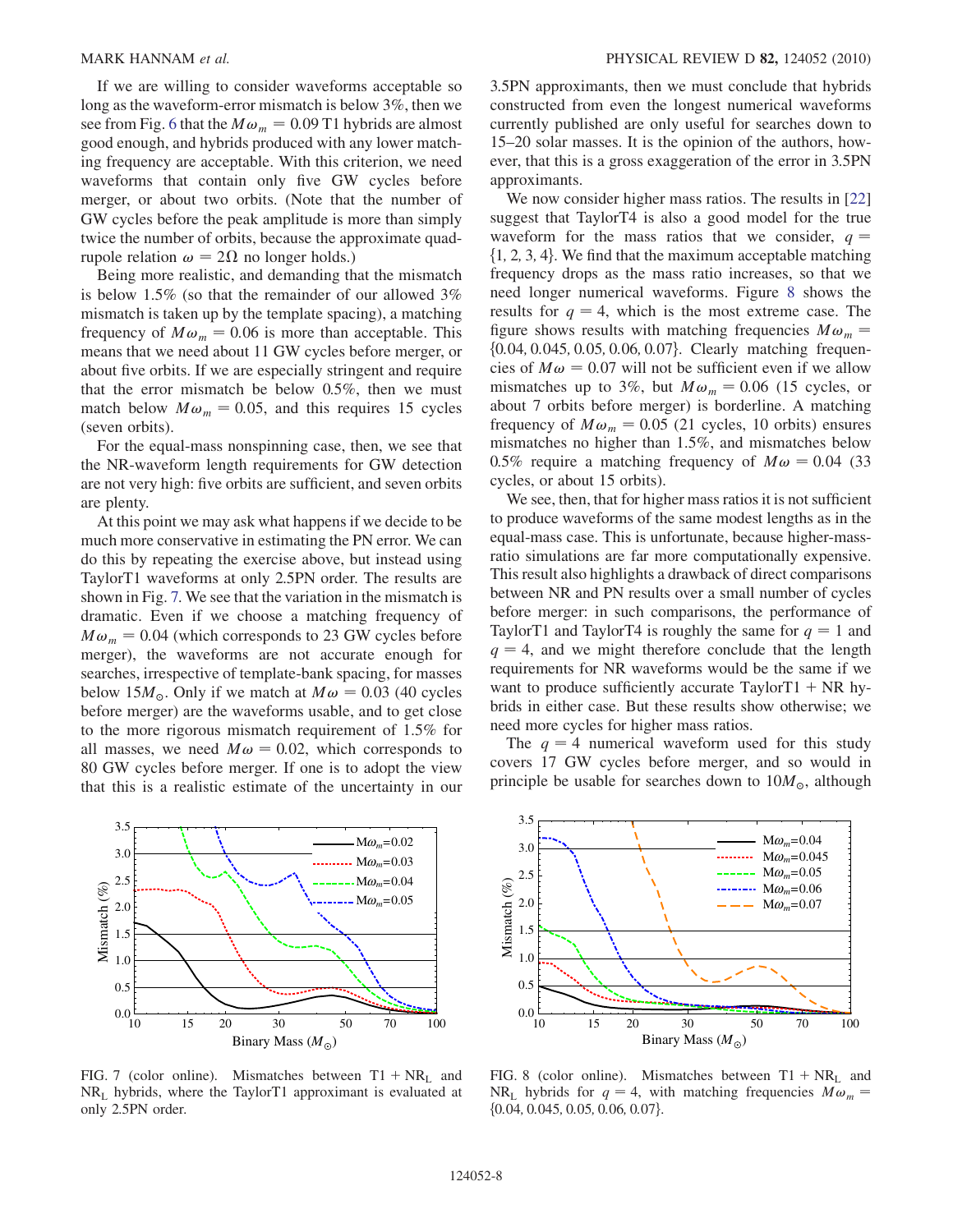If we are willing to consider waveforms acceptable so long as the waveform-error mismatch is below 3%, then we see from Fig. [6](#page-6-2) that the  $M\omega_m = 0.09$  T1 hybrids are almost good enough, and hybrids produced with any lower matching frequency are acceptable. With this criterion, we need waveforms that contain only five GW cycles before merger, or about two orbits. (Note that the number of GW cycles before the peak amplitude is more than simply twice the number of orbits, because the approximate quadrupole relation  $\omega = 2\Omega$  no longer holds.)

Being more realistic, and demanding that the mismatch is below 1.5% (so that the remainder of our allowed 3% mismatch is taken up by the template spacing), a matching frequency of  $M\omega_m = 0.06$  is more than acceptable. This means that we need about 11 GW cycles before merger, or about five orbits. If we are especially stringent and require that the error mismatch be below 0.5%, then we must match below  $M\omega_m = 0.05$ , and this requires 15 cycles (seven orbits).

For the equal-mass nonspinning case, then, we see that the NR-waveform length requirements for GW detection are not very high: five orbits are sufficient, and seven orbits are plenty.

At this point we may ask what happens if we decide to be much more conservative in estimating the PN error. We can do this by repeating the exercise above, but instead using TaylorT1 waveforms at only 2.5PN order. The results are shown in Fig. [7.](#page-7-0) We see that the variation in the mismatch is dramatic. Even if we choose a matching frequency of  $M\omega_m = 0.04$  (which corresponds to 23 GW cycles before merger), the waveforms are not accurate enough for searches, irrespective of template-bank spacing, for masses below 15 $M_{\odot}$ . Only if we match at  $M\omega = 0.03$  (40 cycles before merger) are the waveforms usable, and to get close to the more rigorous mismatch requirement of 1.5% for all masses, we need  $M\omega = 0.02$ , which corresponds to 80 GW cycles before merger. If one is to adopt the view that this is a realistic estimate of the uncertainty in our

<span id="page-7-0"></span>

FIG. 7 (color online). Mismatches between  $T1 + NR_1$  and  $NR<sub>L</sub>$  hybrids, where the TaylorT1 approximant is evaluated at only 2.5PN order.

3.5PN approximants, then we must conclude that hybrids constructed from even the longest numerical waveforms currently published are only useful for searches down to 15–20 solar masses. It is the opinion of the authors, however, that this is a gross exaggeration of the error in 3.5PN approximants.

We now consider higher mass ratios. The results in [\[22\]](#page-12-10) suggest that TaylorT4 is also a good model for the true waveform for the mass ratios that we consider,  $q =$  $\{1, 2, 3, 4\}$ . We find that the maximum acceptable matching frequency drops as the mass ratio increases, so that we need longer numerical waveforms. Figure [8](#page-7-1) shows the results for  $q = 4$ , which is the most extreme case. The figure shows results with matching frequencies  $M\omega_m =$ {0.04, 0.045, 0.05, 0.06, 0.07}. Clearly matching frequencies of  $M\omega = 0.07$  will not be sufficient even if we allow mismatches up to 3%, but  $M\omega_m = 0.06$  (15 cycles, or about 7 orbits before merger) is borderline. A matching frequency of  $M\omega_m = 0.05$  (21 cycles, 10 orbits) ensures mismatches no higher than 1.5%, and mismatches below 0.5% require a matching frequency of  $M\omega = 0.04$  (33) cycles, or about 15 orbits).

We see, then, that for higher mass ratios it is not sufficient to produce waveforms of the same modest lengths as in the equal-mass case. This is unfortunate, because higher-massratio simulations are far more computationally expensive. This result also highlights a drawback of direct comparisons between NR and PN results over a small number of cycles before merger: in such comparisons, the performance of TaylorT1 and TaylorT4 is roughly the same for  $q = 1$  and  $q = 4$ , and we might therefore conclude that the length requirements for NR waveforms would be the same if we want to produce sufficiently accurate  $TaylorT1 + NR$  hybrids in either case. But these results show otherwise; we need more cycles for higher mass ratios.

The  $q = 4$  numerical waveform used for this study covers 17 GW cycles before merger, and so would in principle be usable for searches down to  $10M_{\odot}$ , although

<span id="page-7-1"></span>

FIG. 8 (color online). Mismatches between  $T1 + NR_L$  and NR<sub>L</sub> hybrids for  $q = 4$ , with matching frequencies  $M\omega_m$  =  $\{0.04, 0.045, 0.05, 0.06, 0.07\}.$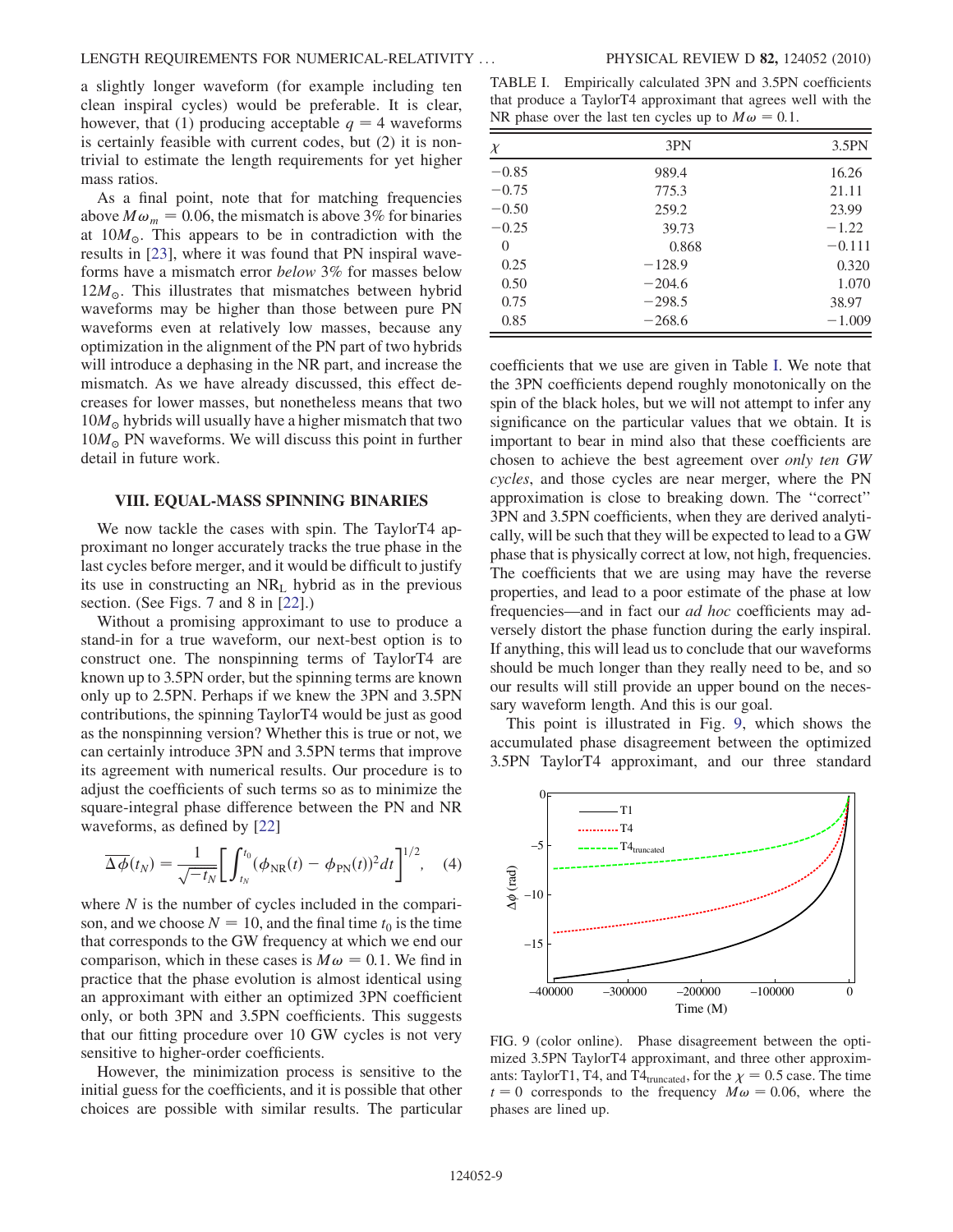a slightly longer waveform (for example including ten clean inspiral cycles) would be preferable. It is clear, however, that (1) producing acceptable  $q = 4$  waveforms is certainly feasible with current codes, but (2) it is nontrivial to estimate the length requirements for yet higher mass ratios.

As a final point, note that for matching frequencies above  $M\omega_m = 0.06$ , the mismatch is above 3% for binaries at  $10M_{\odot}$ . This appears to be in contradiction with the results in [\[23\]](#page-12-11), where it was found that PN inspiral waveforms have a mismatch error below 3% for masses below  $12M_{\odot}$ . This illustrates that mismatches between hybrid waveforms may be higher than those between nurs PN waveforms may be higher than those between pure PN waveforms even at relatively low masses, because any optimization in the alignment of the PN part of two hybrids will introduce a dephasing in the NR part, and increase the mismatch. As we have already discussed, this effect decreases for lower masses, but nonetheless means that two  $10M_{\odot}$  hybrids will usually have a higher mismatch that two  $10M_{\odot}$  PN waveforms. We will discuss this point in further  $10M_{\odot}$  PN waveforms. We will discuss this point in further detail in future work detail in future work.

#### <span id="page-8-0"></span>VIII. EQUAL-MASS SPINNING BINARIES

We now tackle the cases with spin. The TaylorT4 approximant no longer accurately tracks the true phase in the last cycles before merger, and it would be difficult to justify its use in constructing an  $NR_{\text{L}}$  hybrid as in the previous section. (See Figs. 7 and 8 in [[22](#page-12-10)].)

Without a promising approximant to use to produce a stand-in for a true waveform, our next-best option is to construct one. The nonspinning terms of TaylorT4 are known up to 3.5PN order, but the spinning terms are known only up to 2.5PN. Perhaps if we knew the 3PN and 3.5PN contributions, the spinning TaylorT4 would be just as good as the nonspinning version? Whether this is true or not, we can certainly introduce 3PN and 3.5PN terms that improve its agreement with numerical results. Our procedure is to adjust the coefficients of such terms so as to minimize the square-integral phase difference between the PN and NR waveforms, as defined by [\[22\]](#page-12-10)

$$
\overline{\Delta \phi}(t_N) = \frac{1}{\sqrt{-t_N}} \bigg[ \int_{t_N}^{t_0} (\phi_{\rm NR}(t) - \phi_{\rm PN}(t))^2 dt \bigg]^{1/2}, \quad (4)
$$

where  $N$  is the number of cycles included in the comparison, and we choose  $N = 10$ , and the final time  $t_0$  is the time that corresponds to the GW frequency at which we end our comparison, which in these cases is  $M\omega = 0.1$ . We find in practice that the phase evolution is almost identical using an approximant with either an optimized 3PN coefficient only, or both 3PN and 3.5PN coefficients. This suggests that our fitting procedure over 10 GW cycles is not very sensitive to higher-order coefficients.

However, the minimization process is sensitive to the initial guess for the coefficients, and it is possible that other choices are possible with similar results. The particular

<span id="page-8-1"></span>TABLE I. Empirically calculated 3PN and 3.5PN coefficients that produce a TaylorT4 approximant that agrees well with the NR phase over the last ten cycles up to  $M\omega = 0.1$ .

| $\chi$  | 3PN      | 3.5PN    |  |
|---------|----------|----------|--|
| $-0.85$ | 989.4    | 16.26    |  |
| $-0.75$ | 775.3    | 21.11    |  |
| $-0.50$ | 259.2    | 23.99    |  |
| $-0.25$ | 39.73    | $-1.22$  |  |
| 0       | 0.868    | $-0.111$ |  |
| 0.25    | $-128.9$ | 0.320    |  |
| 0.50    | $-204.6$ | 1.070    |  |
| 0.75    | $-298.5$ | 38.97    |  |
| 0.85    | $-268.6$ | $-1.009$ |  |

coefficients that we use are given in Table [I](#page-8-1). We note that the 3PN coefficients depend roughly monotonically on the spin of the black holes, but we will not attempt to infer any significance on the particular values that we obtain. It is important to bear in mind also that these coefficients are chosen to achieve the best agreement over only ten GW cycles, and those cycles are near merger, where the PN approximation is close to breaking down. The ''correct'' 3PN and 3.5PN coefficients, when they are derived analytically, will be such that they will be expected to lead to a GW phase that is physically correct at low, not high, frequencies. The coefficients that we are using may have the reverse properties, and lead to a poor estimate of the phase at low frequencies—and in fact our ad hoc coefficients may adversely distort the phase function during the early inspiral. If anything, this will lead us to conclude that our waveforms should be much longer than they really need to be, and so our results will still provide an upper bound on the necessary waveform length. And this is our goal.

This point is illustrated in Fig. [9,](#page-8-2) which shows the accumulated phase disagreement between the optimized 3.5PN TaylorT4 approximant, and our three standard

<span id="page-8-2"></span>

FIG. 9 (color online). Phase disagreement between the optimized 3.5PN TaylorT4 approximant, and three other approximants: TaylorT1, T4, and T4 $_{\text{truncated}}$ , for the  $\chi = 0.5$  case. The time  $t = 0$  corresponds to the frequency  $M\omega = 0.06$ , where the phases are lined up.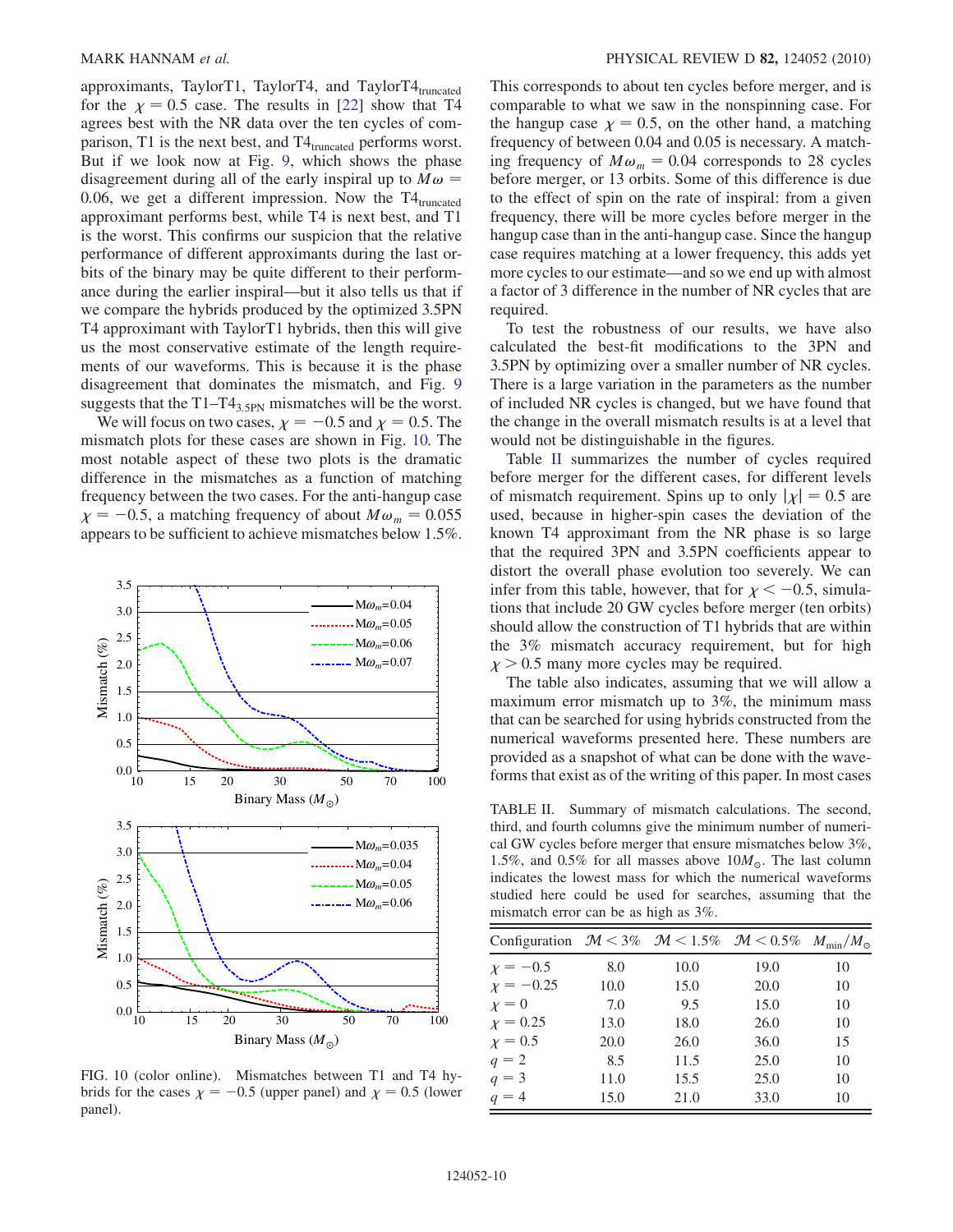approximants, TaylorT1, TaylorT4, and TaylorT4 $_{\text{truncated}}$ for the  $\chi = 0.5$  case. The results in [[22](#page-12-10)] show that T4 agrees best with the NR data over the ten cycles of comparison, T1 is the next best, and  $T4_{truncated}$  performs worst. But if we look now at Fig. [9](#page-8-2), which shows the phase disagreement during all of the early inspiral up to  $M\omega =$ 0.06, we get a different impression. Now the  $T4_{truncated}$ approximant performs best, while T4 is next best, and T1 is the worst. This confirms our suspicion that the relative performance of different approximants during the last orbits of the binary may be quite different to their performance during the earlier inspiral—but it also tells us that if we compare the hybrids produced by the optimized 3.5PN T4 approximant with TaylorT1 hybrids, then this will give us the most conservative estimate of the length requirements of our waveforms. This is because it is the phase disagreement that dominates the mismatch, and Fig. [9](#page-8-2) suggests that the  $T1-T4_{3.5PN}$  mismatches will be the worst.

We will focus on two cases,  $\chi = -0.5$  and  $\chi = 0.5$ . The smatch plots for these cases are shown in Fig. 10. The mismatch plots for these cases are shown in Fig. [10.](#page-9-0) The most notable aspect of these two plots is the dramatic difference in the mismatches as a function of matching frequency between the two cases. For the anti-hangup case  $\chi = -0.5$ , a matching frequency of about  $M\omega_m = 0.055$ <br>appears to be sufficient to achieve mismatches below 1.5% appears to be sufficient to achieve mismatches below 1.5%.

<span id="page-9-0"></span>

FIG. 10 (color online). Mismatches between T1 and T4 hybrids for the cases  $\chi = -0.5$  (upper panel) and  $\chi = 0.5$  (lower panel).

This corresponds to about ten cycles before merger, and is comparable to what we saw in the nonspinning case. For the hangup case  $\chi = 0.5$ , on the other hand, a matching frequency of between 0.04 and 0.05 is necessary. A matching frequency of  $M\omega_m = 0.04$  corresponds to 28 cycles before merger, or 13 orbits. Some of this difference is due to the effect of spin on the rate of inspiral: from a given frequency, there will be more cycles before merger in the hangup case than in the anti-hangup case. Since the hangup case requires matching at a lower frequency, this adds yet more cycles to our estimate—and so we end up with almost a factor of 3 difference in the number of NR cycles that are required.

To test the robustness of our results, we have also calculated the best-fit modifications to the 3PN and 3.5PN by optimizing over a smaller number of NR cycles. There is a large variation in the parameters as the number of included NR cycles is changed, but we have found that the change in the overall mismatch results is at a level that would not be distinguishable in the figures.

Table [II](#page-9-1) summarizes the number of cycles required before merger for the different cases, for different levels of mismatch requirement. Spins up to only  $|\chi| = 0.5$  are used, because in higher-spin cases the deviation of the known T4 approximant from the NR phase is so large that the required 3PN and 3.5PN coefficients appear to distort the overall phase evolution too severely. We can infer from this table, however, that for  $\chi < -0.5$ , simulations that include 20 GW cycles before merger (ten orbits) tions that include 20 GW cycles before merger (ten orbits) should allow the construction of T1 hybrids that are within the 3% mismatch accuracy requirement, but for high  $\chi$  > 0.5 many more cycles may be required.

The table also indicates, assuming that we will allow a maximum error mismatch up to 3%, the minimum mass that can be searched for using hybrids constructed from the numerical waveforms presented here. These numbers are provided as a snapshot of what can be done with the wave-

<span id="page-9-1"></span>TABLE II. Summary of mismatch calculations. The second, third, and fourth columns give the minimum number of numerical GW cycles before merger that ensure mismatches below 3%, 1.5%, and 0.5% for all masses above  $10M_{\odot}$ . The last column indicates the lowest mass for which the numerical waveforms studied here could be used for searches, assuming that the mismatch error can be as high as 3%.

| Configuration $\mathcal{M} < 3\%$ $\mathcal{M} < 1.5\%$ $\mathcal{M} < 0.5\%$ $M_{\text{min}}/M_{\odot}$ |      |      |      |    |
|----------------------------------------------------------------------------------------------------------|------|------|------|----|
| $x = -0.5$                                                                                               | 8.0  | 10.0 | 19.0 | 10 |
| $\chi = -0.25$                                                                                           | 10.0 | 15.0 | 20.0 | 10 |
| $\chi=0$                                                                                                 | 7.0  | 9.5  | 15.0 | 10 |
| $\chi = 0.25$                                                                                            | 13.0 | 18.0 | 26.0 | 10 |
| $\chi = 0.5$                                                                                             | 20.0 | 26.0 | 36.0 | 15 |
| $q=2$                                                                                                    | 8.5  | 11.5 | 25.0 | 10 |
| $q = 3$                                                                                                  | 11.0 | 15.5 | 25.0 | 10 |
| $q = 4$                                                                                                  | 15.0 | 21.0 | 33.0 | 10 |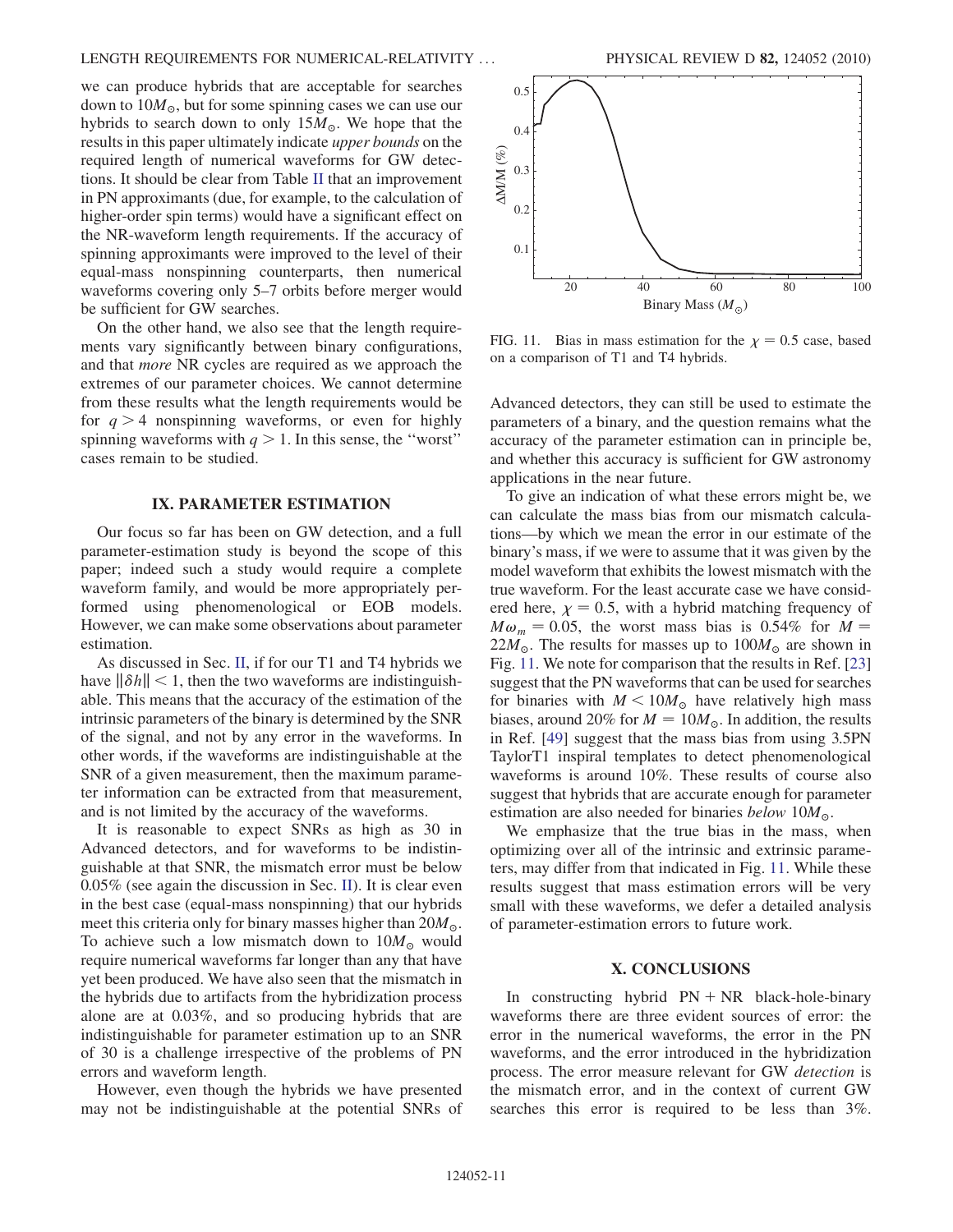we can produce hybrids that are acceptable for searches down to  $10M_{\odot}$ , but for some spinning cases we can use our hybrids to search down to only  $15M_{\odot}$ . We hope that the results in this paper ultimately indicate upper bounds on the required length of numerical waveforms for GW detections. It should be clear from Table [II](#page-9-1) that an improvement in PN approximants (due, for example, to the calculation of higher-order spin terms) would have a significant effect on the NR-waveform length requirements. If the accuracy of spinning approximants were improved to the level of their equal-mass nonspinning counterparts, then numerical waveforms covering only 5–7 orbits before merger would be sufficient for GW searches.

On the other hand, we also see that the length requirements vary significantly between binary configurations, and that more NR cycles are required as we approach the extremes of our parameter choices. We cannot determine from these results what the length requirements would be for  $q > 4$  nonspinning waveforms, or even for highly spinning waveforms with  $q > 1$ . In this sense, the "worst" cases remain to be studied.

## IX. PARAMETER ESTIMATION

<span id="page-10-0"></span>Our focus so far has been on GW detection, and a full parameter-estimation study is beyond the scope of this paper; indeed such a study would require a complete waveform family, and would be more appropriately performed using phenomenological or EOB models. However, we can make some observations about parameter estimation.

As discussed in Sec. [II,](#page-1-0) if for our T1 and T4 hybrids we have  $\|\delta h\|$  < 1, then the two waveforms are indistinguishable. This means that the accuracy of the estimation of the intrinsic parameters of the binary is determined by the SNR of the signal, and not by any error in the waveforms. In other words, if the waveforms are indistinguishable at the SNR of a given measurement, then the maximum parameter information can be extracted from that measurement, and is not limited by the accuracy of the waveforms.

It is reasonable to expect SNRs as high as 30 in Advanced detectors, and for waveforms to be indistinguishable at that SNR, the mismatch error must be below 0.05% (see again the discussion in Sec. [II\)](#page-1-0). It is clear even in the best case (equal-mass nonspinning) that our hybrids meet this criteria only for binary masses higher than  $20M_{\odot}$ . To achieve such a low mismatch down to  $10M_{\odot}$  would require numerical waveforms far longer than any that have yet been produced. We have also seen that the mismatch in the hybrids due to artifacts from the hybridization process alone are at 0.03%, and so producing hybrids that are indistinguishable for parameter estimation up to an SNR of 30 is a challenge irrespective of the problems of PN errors and waveform length.

However, even though the hybrids we have presented may not be indistinguishable at the potential SNRs of

<span id="page-10-1"></span>

FIG. 11. Bias in mass estimation for the  $\chi = 0.5$  case, based on a comparison of T1 and T4 hybrids.

Advanced detectors, they can still be used to estimate the parameters of a binary, and the question remains what the accuracy of the parameter estimation can in principle be, and whether this accuracy is sufficient for GW astronomy applications in the near future.

To give an indication of what these errors might be, we can calculate the mass bias from our mismatch calculations—by which we mean the error in our estimate of the binary's mass, if we were to assume that it was given by the model waveform that exhibits the lowest mismatch with the true waveform. For the least accurate case we have considered here,  $\chi = 0.5$ , with a hybrid matching frequency of  $M\omega_m = 0.05$ , the worst mass bias is 0.54% for  $M =$  $22M_{\odot}$ . The results for masses up to  $100M_{\odot}$  are shown in Fig. 11. We note for comparison that the results in Ref. [23] Fig. [11](#page-10-1). We note for comparison that the results in Ref. [\[23\]](#page-12-11) suggest that the PN waveforms that can be used for searches for binaries with  $M < 10M_{\odot}$  have relatively high mass biases, around 20% for  $M = 10M_{\odot}$ . In addition, the results in Ref. [\[49\]](#page-12-37) suggest that the mass bias from using 3.5PN TaylorT1 inspiral templates to detect phenomenological waveforms is around 10%. These results of course also suggest that hybrids that are accurate enough for parameter estimation are also needed for binaries *below*  $10M_{\odot}$ .

We emphasize that the true bias in the mass, when optimizing over all of the intrinsic and extrinsic parameters, may differ from that indicated in Fig. [11.](#page-10-1) While these results suggest that mass estimation errors will be very small with these waveforms, we defer a detailed analysis of parameter-estimation errors to future work.

#### X. CONCLUSIONS

In constructing hybrid  $PN + NR$  black-hole-binary waveforms there are three evident sources of error: the error in the numerical waveforms, the error in the PN waveforms, and the error introduced in the hybridization process. The error measure relevant for GW detection is the mismatch error, and in the context of current GW searches this error is required to be less than 3%.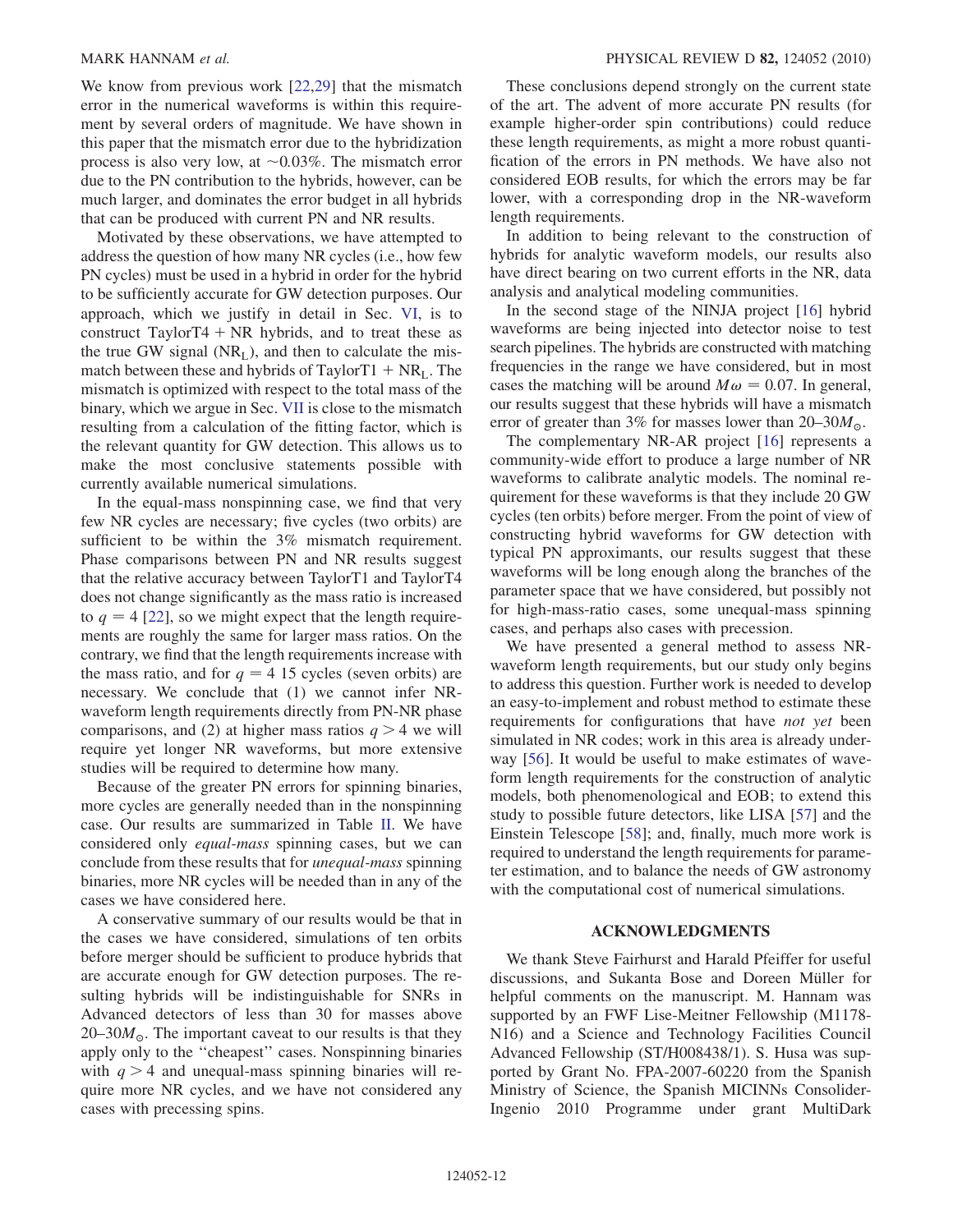We know from previous work [\[22,](#page-12-10)[29\]](#page-12-17) that the mismatch error in the numerical waveforms is within this requirement by several orders of magnitude. We have shown in this paper that the mismatch error due to the hybridization process is also very low, at  $\sim 0.03\%$ . The mismatch error due to the PN contribution to the hybrids, however, can be much larger, and dominates the error budget in all hybrids that can be produced with current PN and NR results.

Motivated by these observations, we have attempted to address the question of how many NR cycles (i.e., how few PN cycles) must be used in a hybrid in order for the hybrid to be sufficiently accurate for GW detection purposes. Our approach, which we justify in detail in Sec. [VI,](#page-5-0) is to construct TaylorT4  $+$  NR hybrids, and to treat these as the true GW signal  $(NR<sub>L</sub>)$ , and then to calculate the mismatch between these and hybrids of TaylorT1  $+ NR<sub>L</sub>$ . The mismatch is optimized with respect to the total mass of the binary, which we argue in Sec. [VII](#page-6-0) is close to the mismatch resulting from a calculation of the fitting factor, which is the relevant quantity for GW detection. This allows us to make the most conclusive statements possible with currently available numerical simulations.

In the equal-mass nonspinning case, we find that very few NR cycles are necessary; five cycles (two orbits) are sufficient to be within the 3% mismatch requirement. Phase comparisons between PN and NR results suggest that the relative accuracy between TaylorT1 and TaylorT4 does not change significantly as the mass ratio is increased to  $q = 4$  [\[22\]](#page-12-10), so we might expect that the length requirements are roughly the same for larger mass ratios. On the contrary, we find that the length requirements increase with the mass ratio, and for  $q = 4$  15 cycles (seven orbits) are necessary. We conclude that (1) we cannot infer NRwaveform length requirements directly from PN-NR phase comparisons, and (2) at higher mass ratios  $q > 4$  we will require yet longer NR waveforms, but more extensive studies will be required to determine how many.

Because of the greater PN errors for spinning binaries, more cycles are generally needed than in the nonspinning case. Our results are summarized in Table [II.](#page-9-1) We have considered only equal-mass spinning cases, but we can conclude from these results that for unequal-mass spinning binaries, more NR cycles will be needed than in any of the cases we have considered here.

A conservative summary of our results would be that in the cases we have considered, simulations of ten orbits before merger should be sufficient to produce hybrids that are accurate enough for GW detection purposes. The resulting hybrids will be indistinguishable for SNRs in Advanced detectors of less than 30 for masses above  $20-30M_{\odot}$ . The important caveat to our results is that they apply only to the ''cheapest'' cases. Nonspinning binaries with  $q > 4$  and unequal-mass spinning binaries will require more NR cycles, and we have not considered any cases with precessing spins.

These conclusions depend strongly on the current state of the art. The advent of more accurate PN results (for example higher-order spin contributions) could reduce these length requirements, as might a more robust quantification of the errors in PN methods. We have also not considered EOB results, for which the errors may be far lower, with a corresponding drop in the NR-waveform length requirements.

In addition to being relevant to the construction of hybrids for analytic waveform models, our results also have direct bearing on two current efforts in the NR, data analysis and analytical modeling communities.

In the second stage of the NINJA project [[16](#page-12-4)] hybrid waveforms are being injected into detector noise to test search pipelines. The hybrids are constructed with matching frequencies in the range we have considered, but in most cases the matching will be around  $M\omega = 0.07$ . In general, our results suggest that these hybrids will have a mismatch error of greater than 3% for masses lower than  $20-30M_{\odot}$ .

The complementary NR-AR project [\[16](#page-12-4)] represents a community-wide effort to produce a large number of NR waveforms to calibrate analytic models. The nominal requirement for these waveforms is that they include 20 GW cycles (ten orbits) before merger. From the point of view of constructing hybrid waveforms for GW detection with typical PN approximants, our results suggest that these waveforms will be long enough along the branches of the parameter space that we have considered, but possibly not for high-mass-ratio cases, some unequal-mass spinning cases, and perhaps also cases with precession.

We have presented a general method to assess NRwaveform length requirements, but our study only begins to address this question. Further work is needed to develop an easy-to-implement and robust method to estimate these requirements for configurations that have *not yet* been simulated in NR codes; work in this area is already underway [\[56\]](#page-12-41). It would be useful to make estimates of waveform length requirements for the construction of analytic models, both phenomenological and EOB; to extend this study to possible future detectors, like LISA [\[57\]](#page-12-42) and the Einstein Telescope [[58](#page-12-43)]; and, finally, much more work is required to understand the length requirements for parameter estimation, and to balance the needs of GW astronomy with the computational cost of numerical simulations.

#### ACKNOWLEDGMENTS

We thank Steve Fairhurst and Harald Pfeiffer for useful discussions, and Sukanta Bose and Doreen Müller for helpful comments on the manuscript. M. Hannam was supported by an FWF Lise-Meitner Fellowship (M1178- N16) and a Science and Technology Facilities Council Advanced Fellowship (ST/H008438/1). S. Husa was supported by Grant No. FPA-2007-60220 from the Spanish Ministry of Science, the Spanish MICINNs Consolider-Ingenio 2010 Programme under grant MultiDark